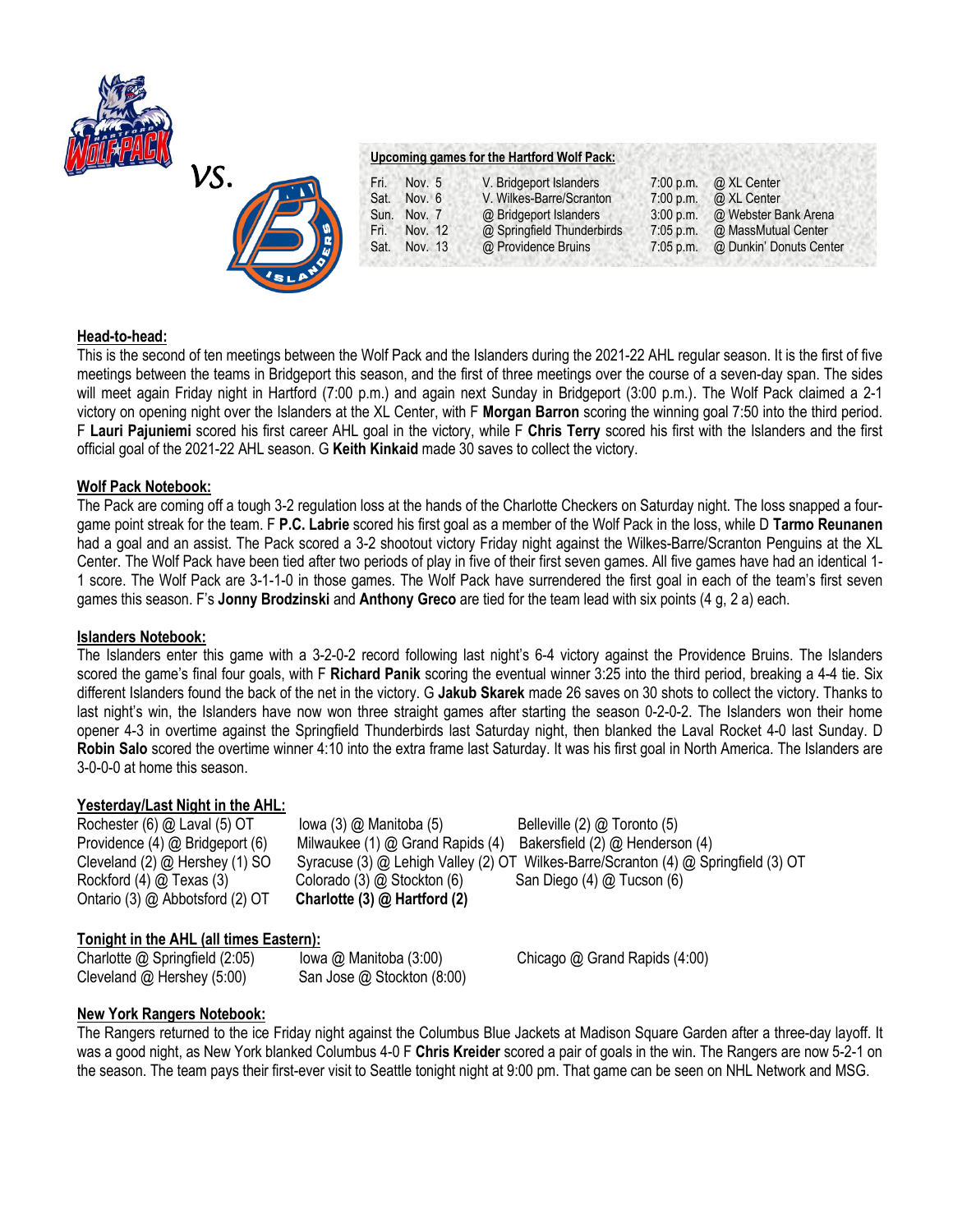



### **Upcoming games for the Hartford Wolf Pack:**

| Fri. | Nov. $5$ | V. Bridgeport Islanders    | 7:00 p.m.   | @ XL Center             |
|------|----------|----------------------------|-------------|-------------------------|
| Sat. | Nov. 6   | V. Wilkes-Barre/Scranton   | 7:00 p.m.   | @ XL Center             |
| Sun. | Nov. 7   | @ Bridgeport Islanders     | 3:00 p.m.   | @ Webster Bank Arena    |
| Fri. | Nov. 12  | @ Springfield Thunderbirds | $7:05$ p.m. | @ MassMutual Center     |
| Sat. | Nov. 13  | @ Providence Bruins        | $7:05$ p.m. | @ Dunkin' Donuts Center |

## **Head-to-head:**

This is the second of ten meetings between the Wolf Pack and the Islanders during the 2021-22 AHL regular season. It is the first of five meetings between the teams in Bridgeport this season, and the first of three meetings over the course of a seven-day span. The sides will meet again Friday night in Hartford (7:00 p.m.) and again next Sunday in Bridgeport (3:00 p.m.). The Wolf Pack claimed a 2-1 victory on opening night over the Islanders at the XL Center, with F **Morgan Barron** scoring the winning goal 7:50 into the third period. F **Lauri Pajuniemi** scored his first career AHL goal in the victory, while F **Chris Terry** scored his first with the Islanders and the first official goal of the 2021-22 AHL season. G **Keith Kinkaid** made 30 saves to collect the victory.

# **Wolf Pack Notebook:**

The Pack are coming off a tough 3-2 regulation loss at the hands of the Charlotte Checkers on Saturday night. The loss snapped a fourgame point streak for the team. F **P.C. Labrie** scored his first goal as a member of the Wolf Pack in the loss, while D **Tarmo Reunanen**  had a goal and an assist. The Pack scored a 3-2 shootout victory Friday night against the Wilkes-Barre/Scranton Penguins at the XL Center. The Wolf Pack have been tied after two periods of play in five of their first seven games. All five games have had an identical 1- 1 score. The Wolf Pack are 3-1-1-0 in those games. The Wolf Pack have surrendered the first goal in each of the team's first seven games this season. F's **Jonny Brodzinski** and **Anthony Greco** are tied for the team lead with six points (4 g, 2 a) each.

### **Islanders Notebook:**

The Islanders enter this game with a 3-2-0-2 record following last night's 6-4 victory against the Providence Bruins. The Islanders scored the game's final four goals, with F **Richard Panik** scoring the eventual winner 3:25 into the third period, breaking a 4-4 tie. Six different Islanders found the back of the net in the victory. G **Jakub Skarek** made 26 saves on 30 shots to collect the victory. Thanks to last night's win, the Islanders have now won three straight games after starting the season 0-2-0-2. The Islanders won their home opener 4-3 in overtime against the Springfield Thunderbirds last Saturday night, then blanked the Laval Rocket 4-0 last Sunday. D **Robin Salo** scored the overtime winner 4:10 into the extra frame last Saturday. It was his first goal in North America. The Islanders are 3-0-0-0 at home this season.

# **Yesterday/Last Night in the AHL:**

Rochester (6) @ Laval (5) OT **Iowa (3) @ Manitoba (5)** Belleville (2) @ Toronto (5) Providence (4) @ Bridgeport (6)Milwaukee (1) @ Grand Rapids (4) Bakersfield (2) @ Henderson (4) Cleveland (2) @ Hershey (1) SO Syracuse (3) @ Lehigh Valley (2) OT Wilkes-Barre/Scranton (4) @ Springfield (3) OT Rockford (4) @ Texas (3) Colorado (3) @ Stockton (6) San Diego (4) @ Tucson (6) Ontario (3) @ Abbotsford (2) OT **Charlotte (3) @ Hartford (2)**

# **Tonight in the AHL (all times Eastern):**

Charlotte @ Springfield (2:05)Iowa @ Manitoba (3:00) Chicago @ Grand Rapids (4:00) Cleveland @ Hershey (5:00)San Jose @ Stockton (8:00)

# **New York Rangers Notebook:**

The Rangers returned to the ice Friday night against the Columbus Blue Jackets at Madison Square Garden after a three-day layoff. It was a good night, as New York blanked Columbus 4-0 F **Chris Kreider** scored a pair of goals in the win. The Rangers are now 5-2-1 on the season. The team pays their first-ever visit to Seattle tonight night at 9:00 pm. That game can be seen on NHL Network and MSG.